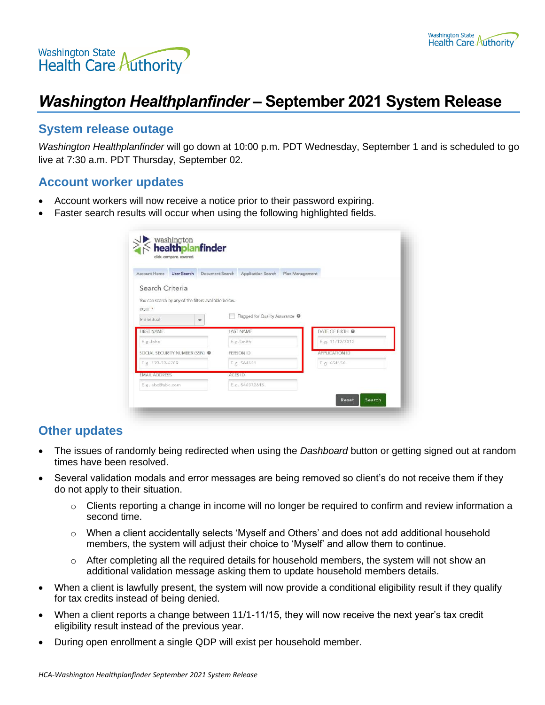



# *Washington Healthplanfinder* **– September 2021 System Release**

## **System release outage**

*Washington Healthplanfinder* will go down at 10:00 p.m. PDT Wednesday, September 1 and is scheduled to go live at 7:30 a.m. PDT Thursday, September 02.

#### **Account worker updates**

- Account workers will now receive a notice prior to their password expiring.
- Faster search results will occur when using the following highlighted fields.

| <b>Account Home</b><br><b>User Search</b><br>Document Search | Application Search                               | Plan Management |  |
|--------------------------------------------------------------|--------------------------------------------------|-----------------|--|
| Search Criteria                                              |                                                  |                 |  |
| You can search by any of the filters available below.        |                                                  |                 |  |
| ROLE *                                                       |                                                  |                 |  |
| Individual<br>٠                                              | Flagged for Quality Assurance <sup>O</sup><br>F. |                 |  |
| FIRST NAME                                                   | LAST NAME                                        | DATE OF BIRTH @ |  |
| E.g.John                                                     | E.g.Smith                                        | E.g. 11/12/2012 |  |
| SOCIAL SECURITY NUMBER (SSN)                                 | PERSON ID                                        | APPLICATION ID  |  |
| E.g. 123-32-6789                                             | E.g. 564651                                      | E.g. 654156     |  |
| <b>EMAIL ADDRESS</b>                                         | <b>ACES ID</b>                                   |                 |  |
| E.g. abc@abc.com                                             | E.g. 546372615                                   |                 |  |

## **Other updates**

- The issues of randomly being redirected when using the *Dashboard* button or getting signed out at random times have been resolved.
- Several validation modals and error messages are being removed so client's do not receive them if they do not apply to their situation.
	- $\circ$  Clients reporting a change in income will no longer be required to confirm and review information a second time.
	- $\circ$  When a client accidentally selects 'Myself and Others' and does not add additional household members, the system will adjust their choice to 'Myself' and allow them to continue.
	- $\circ$  After completing all the required details for household members, the system will not show an additional validation message asking them to update household members details.
- When a client is lawfully present, the system will now provide a conditional eligibility result if they qualify for tax credits instead of being denied.
- When a client reports a change between 11/1-11/15, they will now receive the next year's tax credit eligibility result instead of the previous year.
- During open enrollment a single QDP will exist per household member.